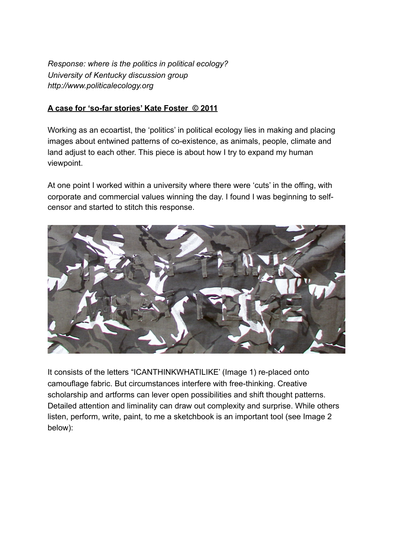*Response: where is the politics in political ecology? University of Kentucky discussion group http://www.politicalecology.org*

## **A case for 'so-far stories' Kate Foster © 2011**

Working as an ecoartist, the 'politics' in political ecology lies in making and placing images about entwined patterns of co-existence, as animals, people, climate and land adjust to each other. This piece is about how I try to expand my human viewpoint.

At one point I worked within a university where there were 'cuts' in the offing, with corporate and commercial values winning the day. I found I was beginning to selfcensor and started to stitch this response.



It consists of the letters "ICANTHINKWHATILIKE' (Image 1) re-placed onto camouflage fabric. But circumstances interfere with free-thinking. Creative scholarship and artforms can lever open possibilities and shift thought patterns. Detailed attention and liminality can draw out complexity and surprise. While others listen, perform, write, paint, to me a sketchbook is an important tool (see Image 2 below):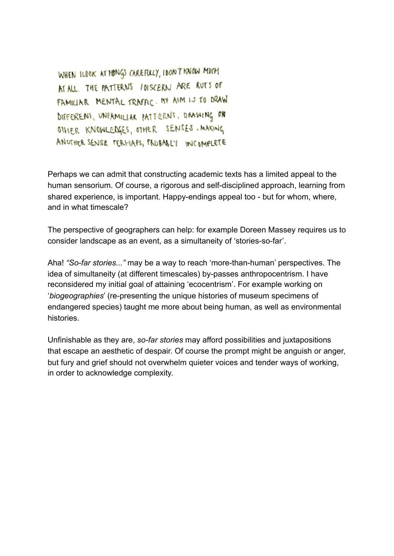WHEN ILOOK AT HINGS CAREFULLY, IDON'T KNOW MUCH MEALL. THE PATTERNS INSCERN ARE RUTS OF FAMILIAR MENTAL TRAFFIC. MY AIM IS TO DRAW DIFFERENT, UNFAMILIAR PATTERNS, DRAWING ON OTHER KNOWLEDGES, OTHER SENSES. MAKING ANUTHER SENSE TERHAPS, PROBABLY INCOMPLETE

Perhaps we can admit that constructing academic texts has a limited appeal to the human sensorium. Of course, a rigorous and self-disciplined approach, learning from shared experience, is important. Happy-endings appeal too - but for whom, where, and in what timescale?

The perspective of geographers can help: for example Doreen Massey requires us to consider landscape as an event, as a simultaneity of 'stories-so-far'.

Aha! *"So-far stories..."* may be a way to reach 'more-than-human' perspectives. The idea of simultaneity (at different timescales) by-passes anthropocentrism. I have reconsidered my initial goal of attaining 'ecocentrism'. For example working on '*biogeographies*' (re-presenting the unique histories of museum specimens of endangered species) taught me more about being human, as well as environmental histories.

Unfinishable as they are, *so-far stories* may afford possibilities and juxtapositions that escape an aesthetic of despair. Of course the prompt might be anguish or anger, but fury and grief should not overwhelm quieter voices and tender ways of working, in order to acknowledge complexity.